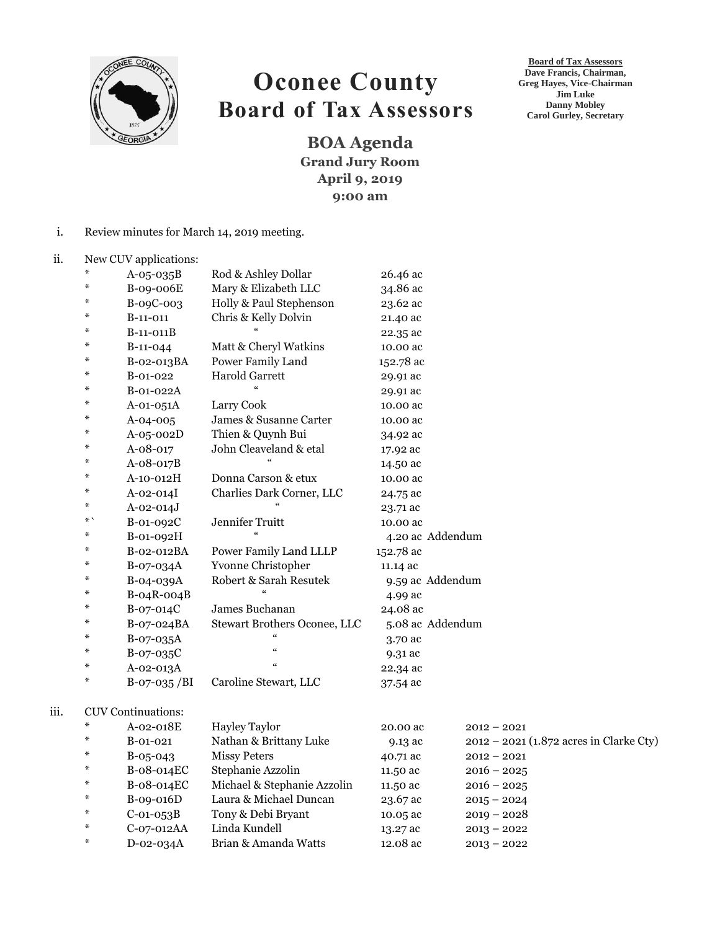

## **Oconee County Board of Tax Assessors**

**BOA Agenda Grand Jury Room April 9, 2019 9:00 am**

- i. Review minutes for March 14, 2019 meeting.
- ii. New CUV applications:

iii.

| ₩  | $A-05-035B$               | Rod & Ashley Dollar          | 26.46 ac         |                                           |
|----|---------------------------|------------------------------|------------------|-------------------------------------------|
| ⋇  | B-09-006E                 | Mary & Elizabeth LLC         | 34.86 ac         |                                           |
| ÷. | B-09C-003                 | Holly & Paul Stephenson      | 23.62 ac         |                                           |
| ⋇  | $B-11-011$                | Chris & Kelly Dolvin         | 21.40 ac         |                                           |
| ⋇  | B-11-011B                 |                              | 22.35 ac         |                                           |
| ⋇  | $B-11-044$                | Matt & Cheryl Watkins        | 10.00 ac         |                                           |
| ÷. | B-02-013BA                | Power Family Land            | 152.78 ac        |                                           |
| ⋇  | B-01-022                  | <b>Harold Garrett</b>        | 29.91 ac         |                                           |
| ÷. | B-01-022A                 |                              | 29.91 ac         |                                           |
| ⋇  | A-01-051A                 | Larry Cook                   | 10.00 ac         |                                           |
| ⋇  | A-04-005                  | James & Susanne Carter       | 10.00 ac         |                                           |
| ⋇  | A-05-002D                 | Thien & Quynh Bui            | 34.92 ac         |                                           |
| ÷. | A-08-017                  | John Cleaveland & etal       | 17.92 ac         |                                           |
| ⋇  | A-08-017B                 |                              | 14.50 ac         |                                           |
| ⋇  | A-10-012H                 | Donna Carson & etux          | 10.00 ac         |                                           |
| ∗  | A-02-014I                 | Charlies Dark Corner, LLC    | 24.75 ac         |                                           |
| ∗  | $A - 02 - 014J$           |                              | 23.71 ac         |                                           |
| *` | B-01-092C                 | Jennifer Truitt              | 10.00 ac         |                                           |
| ∗  | B-01-092H                 | $\epsilon$                   | 4.20 ac Addendum |                                           |
| ⋇  | B-02-012BA                | Power Family Land LLLP       | 152.78 ac        |                                           |
| ∗  | B-07-034A                 | Yvonne Christopher           | 11.14 ac         |                                           |
| ∗  | B-04-039A                 | Robert & Sarah Resutek       | 9.59 ac Addendum |                                           |
| ∗  | $B-04R-004B$              |                              | 4.99 ac          |                                           |
| ⋇  | B-07-014C                 | James Buchanan               | 24.08 ac         |                                           |
| ∗  | B-07-024BA                | Stewart Brothers Oconee, LLC | 5.08 ac Addendum |                                           |
| ⋇  | B-07-035A                 |                              | 3.70 ac          |                                           |
| ⋇  | B-07-035C                 | $\epsilon\epsilon$           | 9.31 ac          |                                           |
| ∗  | A-02-013A                 | $\epsilon\epsilon$           | 22.34 ac         |                                           |
| ∗  | $B-07-035/BI$             | Caroline Stewart, LLC        | 37.54 ac         |                                           |
|    |                           |                              |                  |                                           |
|    | <b>CUV</b> Continuations: |                              |                  |                                           |
| ⋇  | A-02-018E                 | Hayley Taylor                | 20.00 ac         | $2012 - 2021$                             |
| ∗  | B-01-021                  | Nathan & Brittany Luke       | 9.13 ac          | $2012 - 2021$ (1.872 acres in Clarke Cty) |
| ⋇  | $B-05-043$                | <b>Missy Peters</b>          | 40.71 ac         | $2012 - 2021$                             |
| ⋇  | B-08-014EC                | Stephanie Azzolin            | 11.50 ac         | $2016 - 2025$                             |
| ⋇  | B-08-014EC                | Michael & Stephanie Azzolin  | 11.50 ac         | $2016 - 2025$                             |
| ∗  | B-09-016D                 | Laura & Michael Duncan       | 23.67 ac         | $2015 - 2024$                             |
| ⋇  | $C-01-053B$               | Tony & Debi Bryant           | 10.05 ac         | $2019 - 2028$                             |
| ⋇  | C-07-012AA                | Linda Kundell                | 13.27 ac         | $2013 - 2022$                             |
| ∗  | D-02-034A                 | Brian & Amanda Watts         | 12.08 ac         | $2013 - 2022$                             |

**Board of Tax Assessors Dave Francis, Chairman, Greg Hayes, Vice-Chairman Jim Luke Danny Mobley Carol Gurley, Secretary**